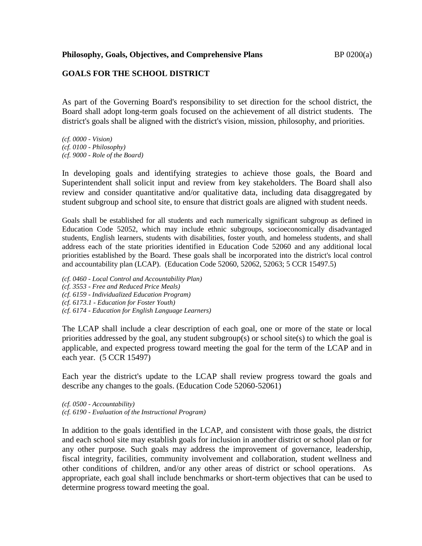**Philosophy, Goals, Objectives, and Comprehensive Plans** BP 0200(a)

## **GOALS FOR THE SCHOOL DISTRICT**

As part of the Governing Board's responsibility to set direction for the school district, the Board shall adopt long-term goals focused on the achievement of all district students. The district's goals shall be aligned with the district's vision, mission, philosophy, and priorities.

*(cf. 0000 - Vision) (cf. 0100 - Philosophy) (cf. 9000 - Role of the Board)*

In developing goals and identifying strategies to achieve those goals, the Board and Superintendent shall solicit input and review from key stakeholders. The Board shall also review and consider quantitative and/or qualitative data, including data disaggregated by student subgroup and school site, to ensure that district goals are aligned with student needs.

Goals shall be established for all students and each numerically significant subgroup as defined in Education Code 52052, which may include ethnic subgroups, socioeconomically disadvantaged students, English learners, students with disabilities, foster youth, and homeless students, and shall address each of the state priorities identified in Education Code 52060 and any additional local priorities established by the Board. These goals shall be incorporated into the district's local control and accountability plan (LCAP). (Education Code 52060, 52062, 52063; 5 CCR 15497.5)

*(cf. 0460 - Local Control and Accountability Plan)*

*(cf. 3553 - Free and Reduced Price Meals)*

*(cf. 6159 - Individualized Education Program)*

*(cf. 6173.1 - Education for Foster Youth)*

*(cf. 6174 - Education for English Language Learners)*

The LCAP shall include a clear description of each goal, one or more of the state or local priorities addressed by the goal, any student subgroup(s) or school site(s) to which the goal is applicable, and expected progress toward meeting the goal for the term of the LCAP and in each year. (5 CCR 15497)

Each year the district's update to the LCAP shall review progress toward the goals and describe any changes to the goals. (Education Code 52060-52061)

*(cf. 0500 - Accountability) (cf. 6190 - Evaluation of the Instructional Program)*

In addition to the goals identified in the LCAP, and consistent with those goals, the district and each school site may establish goals for inclusion in another district or school plan or for any other purpose. Such goals may address the improvement of governance, leadership, fiscal integrity, facilities, community involvement and collaboration, student wellness and other conditions of children, and/or any other areas of district or school operations. As appropriate, each goal shall include benchmarks or short-term objectives that can be used to determine progress toward meeting the goal.